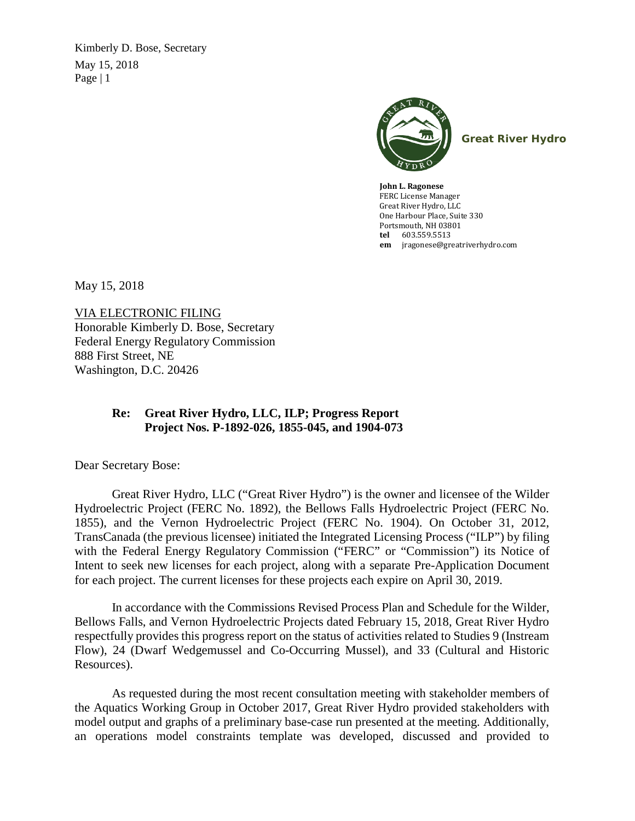Kimberly D. Bose, Secretary May 15, 2018 Page  $|1$ 



**Great River Hydro**

**John L. Ragonese**  FERC License Manager Great River Hydro, LLC One Harbour Place, Suite 330 Portsmouth, NH 03801 **tel** 603.559.5513 **em** [jragonese@greatriverhydro.com](mailto:jragonese@greatriverhydro.com)

May 15, 2018

VIA ELECTRONIC FILING Honorable Kimberly D. Bose, Secretary Federal Energy Regulatory Commission 888 First Street, NE Washington, D.C. 20426

## **Re: Great River Hydro, LLC, ILP; Progress Report Project Nos. P-1892-026, 1855-045, and 1904-073**

Dear Secretary Bose:

Great River Hydro, LLC ("Great River Hydro") is the owner and licensee of the Wilder Hydroelectric Project (FERC No. 1892), the Bellows Falls Hydroelectric Project (FERC No. 1855), and the Vernon Hydroelectric Project (FERC No. 1904). On October 31, 2012, TransCanada (the previous licensee) initiated the Integrated Licensing Process ("ILP") by filing with the Federal Energy Regulatory Commission ("FERC" or "Commission") its Notice of Intent to seek new licenses for each project, along with a separate Pre-Application Document for each project. The current licenses for these projects each expire on April 30, 2019.

In accordance with the Commissions Revised Process Plan and Schedule for the Wilder, Bellows Falls, and Vernon Hydroelectric Projects dated February 15, 2018, Great River Hydro respectfully provides this progress report on the status of activities related to Studies 9 (Instream Flow), 24 (Dwarf Wedgemussel and Co-Occurring Mussel), and 33 (Cultural and Historic Resources).

As requested during the most recent consultation meeting with stakeholder members of the Aquatics Working Group in October 2017, Great River Hydro provided stakeholders with model output and graphs of a preliminary base-case run presented at the meeting. Additionally, an operations model constraints template was developed, discussed and provided to